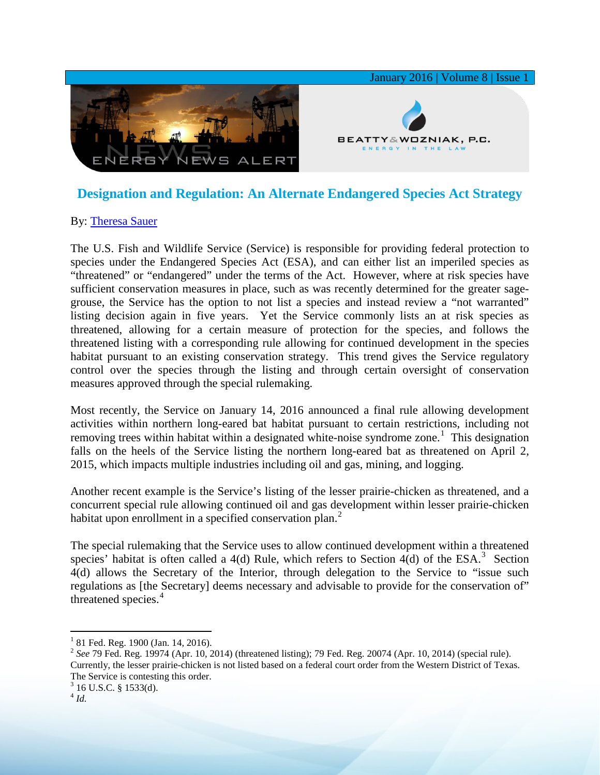

## **Designation and Regulation: An Alternate Endangered Species Act Strategy**

## By: [Theresa Sauer](http://www.bwenergylaw.com/#!theresa-sauer/cgz0)

The U.S. Fish and Wildlife Service (Service) is responsible for providing federal protection to species under the Endangered Species Act (ESA), and can either list an imperiled species as "threatened" or "endangered" under the terms of the Act. However, where at risk species have sufficient conservation measures in place, such as was recently determined for the greater sagegrouse, the Service has the option to not list a species and instead review a "not warranted" listing decision again in five years. Yet the Service commonly lists an at risk species as threatened, allowing for a certain measure of protection for the species, and follows the threatened listing with a corresponding rule allowing for continued development in the species habitat pursuant to an existing conservation strategy. This trend gives the Service regulatory control over the species through the listing and through certain oversight of conservation measures approved through the special rulemaking.

Most recently, the Service on January 14, 2016 announced a final rule allowing development activities within northern long-eared bat habitat pursuant to certain restrictions, including not removing trees within habitat within a designated white-noise syndrome zone.<sup>[1](#page-0-0)</sup> This designation falls on the heels of the Service listing the northern long-eared bat as threatened on April 2, 2015, which impacts multiple industries including oil and gas, mining, and logging.

Another recent example is the Service's listing of the lesser prairie-chicken as threatened, and a concurrent special rule allowing continued oil and gas development within lesser prairie-chicken habitat upon enrollment in a specified conservation plan. $<sup>2</sup>$  $<sup>2</sup>$  $<sup>2</sup>$ </sup>

The special rulemaking that the Service uses to allow continued development within a threatened species' habitat is often called a 4(d) Rule, which refers to Section  $4(d)$  of the ESA.<sup>[3](#page-0-2)</sup> Section 4(d) allows the Secretary of the Interior, through delegation to the Service to "issue such regulations as [the Secretary] deems necessary and advisable to provide for the conservation of" threatened species.<sup>[4](#page-0-3)</sup>

<span id="page-0-0"></span> $1$  81 Fed. Reg. 1900 (Jan. 14, 2016).

<span id="page-0-1"></span><sup>&</sup>lt;sup>2</sup> *See* 79 Fed. Reg. 19974 (Apr. 10, 2014) (threatened listing); 79 Fed. Reg. 20074 (Apr. 10, 2014) (special rule). Currently, the lesser prairie-chicken is not listed based on a federal court order from the Western District of Texas. The Service is contesting this order.<br><sup>3</sup> 16 U.S.C. § 1533(d).

<span id="page-0-3"></span><span id="page-0-2"></span><sup>4</sup> *Id.*